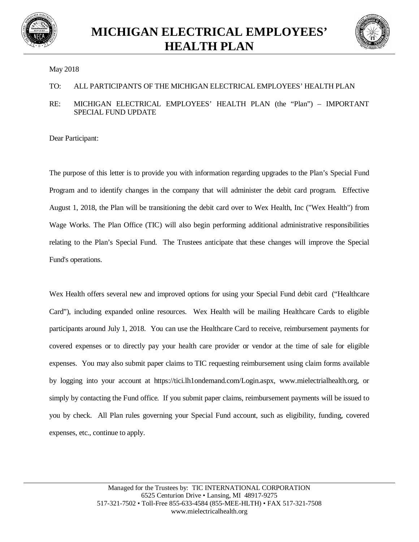



## May 2018

## TO: ALL PARTICIPANTS OF THE MICHIGAN ELECTRICAL EMPLOYEES' HEALTH PLAN

## RE: MICHIGAN ELECTRICAL EMPLOYEES' HEALTH PLAN (the "Plan") – IMPORTANT SPECIAL FUND UPDATE

Dear Participant:

The purpose of this letter is to provide you with information regarding upgrades to the Plan's Special Fund Program and to identify changes in the company that will administer the debit card program. Effective August 1, 2018, the Plan will be transitioning the debit card over to Wex Health, Inc ("Wex Health") from Wage Works. The Plan Office (TIC) will also begin performing additional administrative responsibilities relating to the Plan's Special Fund. The Trustees anticipate that these changes will improve the Special Fund's operations.

Wex Health offers several new and improved options for using your Special Fund debit card ("Healthcare") Card"), including expanded online resources. Wex Health will be mailing Healthcare Cards to eligible participants around July 1, 2018. You can use the Healthcare Card to receive, reimbursement payments for covered expenses or to directly pay your health care provider or vendor at the time of sale for eligible expenses. You may also submit paper claims to TIC requesting reimbursement using claim forms available by logging into your account at https://tici.lh1ondemand.com/Login.aspx, www.mielectrialhealth.org, or simply by contacting the Fund office. If you submit paper claims, reimbursement payments will be issued to you by check. All Plan rules governing your Special Fund account, such as eligibility, funding, covered expenses, etc., continue to apply.